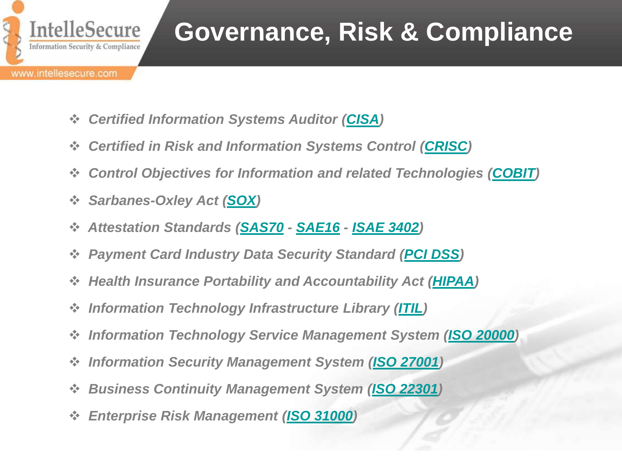

# **Governance, Risk & Compliance**

- *Certified Information Systems Auditor ([CISA](#page-1-0))*
- *Certified in Risk and Information Systems Control [\(CRISC](#page-3-0))*
- *Control Objectives for Information and related Technologies ([COBIT](#page-5-0))*
- *Sarbanes-Oxley Act ([SOX](#page-6-0))*
- *Attestation Standards ([SAS70](#page-7-0) - [SAE16](#page-7-0) - [ISAE 3402\)](#page-7-0)*
- *Payment Card Industry Data Security Standard ([PCI DSS\)](#page-8-0)*
- *Health Insurance Portability and Accountability Act ([HIPAA](#page-9-0))*
- *Information Technology Infrastructure Library [\(ITIL\)](#page-10-0)*
- *Information Technology Service Management System ([ISO 20000\)](#page-11-0)*
- *Information Security Management System ([ISO 27001](#page-12-0))*
- *Business Continuity Management System ([ISO 22301](#page-13-0))*
- <span id="page-0-0"></span> *Enterprise Risk Management ([ISO 31000](#page-14-0))*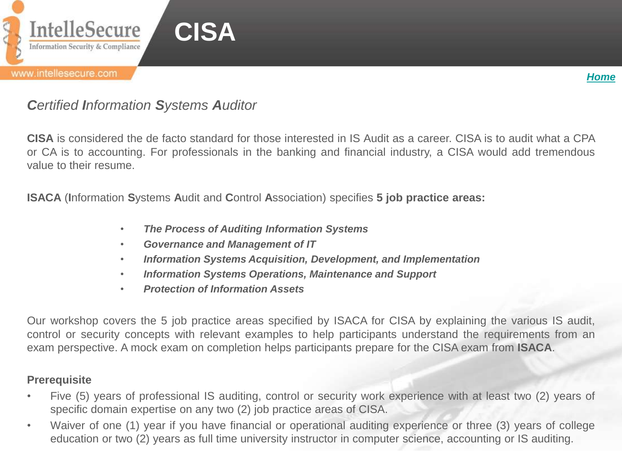

# *Certified Information Systems Auditor*

**CISA** is considered the de facto standard for those interested in IS Audit as a career. CISA is to audit what a CPA or CA is to accounting. For professionals in the banking and financial industry, a CISA would add tremendous value to their resume.

*[Home](#page-0-0)*

**ISACA** (**I**nformation **S**ystems **A**udit and **C**ontrol **A**ssociation) specifies **5 job practice areas:**

- *The Process of Auditing Information Systems*
- *Governance and Management of IT*
- *Information Systems Acquisition, Development, and Implementation*
- *Information Systems Operations, Maintenance and Support*
- *Protection of Information Assets*

Our workshop covers the 5 job practice areas specified by ISACA for CISA by explaining the various IS audit, control or security concepts with relevant examples to help participants understand the requirements from an exam perspective. A mock exam on completion helps participants prepare for the CISA exam from **ISACA**.

### **Prerequisite**

- Five (5) years of professional IS auditing, control or security work experience with at least two (2) years of specific domain expertise on any two (2) job practice areas of CISA.
- <span id="page-1-0"></span>• Waiver of one (1) year if you have financial or operational auditing experience or three (3) years of college education or two (2) years as full time university instructor in computer science, accounting or IS auditing.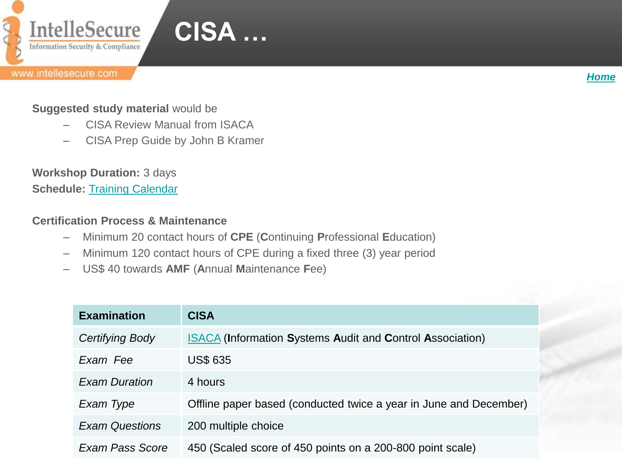



### **Suggested study material** would be

- CISA Review Manual from ISACA
- CISA Prep Guide by John B Kramer

**Workshop Duration:** 3 days **Schedule: [Training](http://www.intellesecure.com/training_calendar.php) [Calendar](http://www.intellesecure.com/training_calendar.php)** 

### **Certification Process & Maintenance**

- Minimum 20 contact hours of **CPE** (**C**ontinuing **P**rofessional **E**ducation)
- Minimum 120 contact hours of CPE during a fixed three (3) year period
- US\$ 40 towards **AMF** (**A**nnual **M**aintenance **F**ee)

| <b>Examination</b>    | <b>CISA</b>                                                       |
|-----------------------|-------------------------------------------------------------------|
| Certifying Body       | <b>ISACA (Information Systems Audit and Control Association)</b>  |
| Exam Fee              | <b>US\$ 635</b>                                                   |
| <b>Exam Duration</b>  | 4 hours                                                           |
| Exam Type             | Offline paper based (conducted twice a year in June and December) |
| <b>Exam Questions</b> | 200 multiple choice                                               |
| Exam Pass Score       | 450 (Scaled score of 450 points on a 200-800 point scale)         |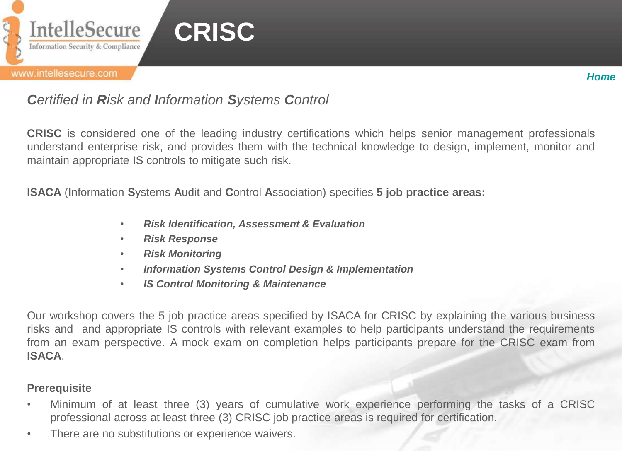



## *Certified in Risk and Information Systems Control*

**CRISC** is considered one of the leading industry certifications which helps senior management professionals understand enterprise risk, and provides them with the technical knowledge to design, implement, monitor and maintain appropriate IS controls to mitigate such risk.

**ISACA** (**I**nformation **S**ystems **A**udit and **C**ontrol **A**ssociation) specifies **5 job practice areas:**

- *Risk Identification, Assessment & Evaluation*
- *Risk Response*
- *Risk Monitoring*
- *Information Systems Control Design & Implementation*
- *IS Control Monitoring & Maintenance*

Our workshop covers the 5 job practice areas specified by ISACA for CRISC by explaining the various business risks and and appropriate IS controls with relevant examples to help participants understand the requirements from an exam perspective. A mock exam on completion helps participants prepare for the CRISC exam from **ISACA**.

#### **Prerequisite**

- Minimum of at least three (3) years of cumulative work experience performing the tasks of a CRISC professional across at least three (3) CRISC job practice areas is required for certification.
- <span id="page-3-0"></span>• There are no substitutions or experience waivers.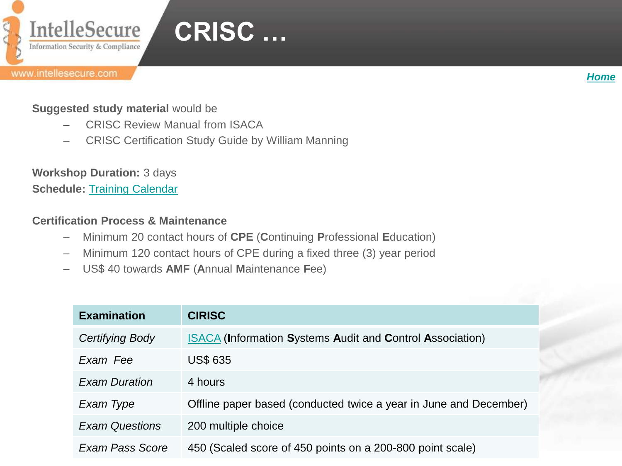

#### *[Home](#page-0-0)*

## **Suggested study material** would be

- CRISC Review Manual from ISACA
- CRISC Certification Study Guide by William Manning

**Workshop Duration:** 3 days **Schedule: [Training](http://www.intellesecure.com/training_calendar.php) [Calendar](http://www.intellesecure.com/training_calendar.php)** 

### **Certification Process & Maintenance**

- Minimum 20 contact hours of **CPE** (**C**ontinuing **P**rofessional **E**ducation)
- Minimum 120 contact hours of CPE during a fixed three (3) year period
- US\$ 40 towards **AMF** (**A**nnual **M**aintenance **F**ee)

| <b>Examination</b>    | <b>CIRISC</b>                                                     |
|-----------------------|-------------------------------------------------------------------|
| Certifying Body       | <b>ISACA (Information Systems Audit and Control Association)</b>  |
| Exam Fee              | <b>US\$ 635</b>                                                   |
| <b>Exam Duration</b>  | 4 hours                                                           |
| Exam Type             | Offline paper based (conducted twice a year in June and December) |
| <b>Exam Questions</b> | 200 multiple choice                                               |
| Exam Pass Score       | 450 (Scaled score of 450 points on a 200-800 point scale)         |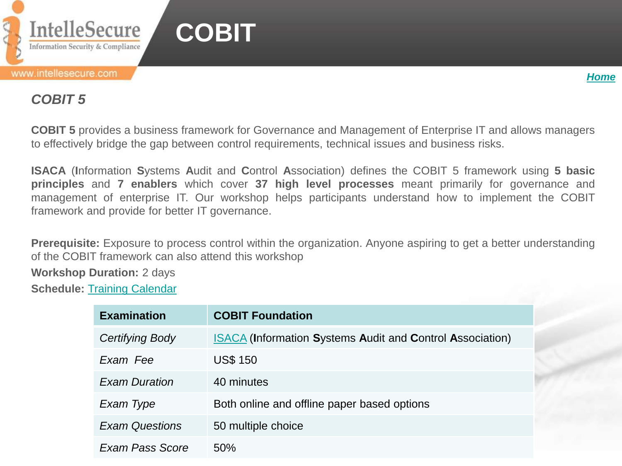



## *COBIT 5*

**COBIT 5** provides a business framework for Governance and Management of Enterprise IT and allows managers to effectively bridge the gap between control requirements, technical issues and business risks.

**ISACA** (**I**nformation **S**ystems **A**udit and **C**ontrol **A**ssociation) defines the COBIT 5 framework using **5 basic principles** and **7 enablers** which cover **37 high level processes** meant primarily for governance and management of enterprise IT. Our workshop helps participants understand how to implement the COBIT framework and provide for better IT governance.

**Prerequisite:** Exposure to process control within the organization. Anyone aspiring to get a better understanding of the COBIT framework can also attend this workshop

**Workshop Duration:** 2 days

<span id="page-5-0"></span>**Schedule:** [Training](http://www.intellesecure.com/training_calendar.php) [Calendar](http://www.intellesecure.com/training_calendar.php)

| <b>Examination</b>    | <b>COBIT Foundation</b>                                          |
|-----------------------|------------------------------------------------------------------|
| Certifying Body       | <b>ISACA (Information Systems Audit and Control Association)</b> |
| Exam Fee              | <b>US\$ 150</b>                                                  |
| <b>Exam Duration</b>  | 40 minutes                                                       |
| Exam Type             | Both online and offline paper based options                      |
| <b>Exam Questions</b> | 50 multiple choice                                               |
| Exam Pass Score       | 50%                                                              |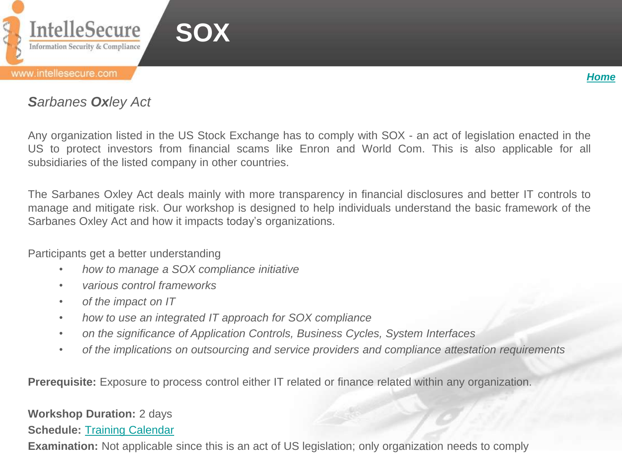



## *Sarbanes Oxley Act*

Any organization listed in the US Stock Exchange has to comply with SOX - an act of legislation enacted in the US to protect investors from financial scams like Enron and World Com. This is also applicable for all subsidiaries of the listed company in other countries.

The Sarbanes Oxley Act deals mainly with more transparency in financial disclosures and better IT controls to manage and mitigate risk. Our workshop is designed to help individuals understand the basic framework of the Sarbanes Oxley Act and how it impacts today's organizations.

Participants get a better understanding

- *how to manage a SOX compliance initiative*
- *various control frameworks*
- *of the impact on IT*
- *how to use an integrated IT approach for SOX compliance*
- *on the significance of Application Controls, Business Cycles, System Interfaces*
- *of the implications on outsourcing and service providers and compliance attestation requirements*

**Prerequisite:** Exposure to process control either IT related or finance related within any organization.

#### **Workshop Duration:** 2 days

**Schedule:** [Training](http://www.intellesecure.com/training_calendar.php) [Calendar](http://www.intellesecure.com/training_calendar.php)

<span id="page-6-0"></span>**Examination:** Not applicable since this is an act of US legislation; only organization needs to comply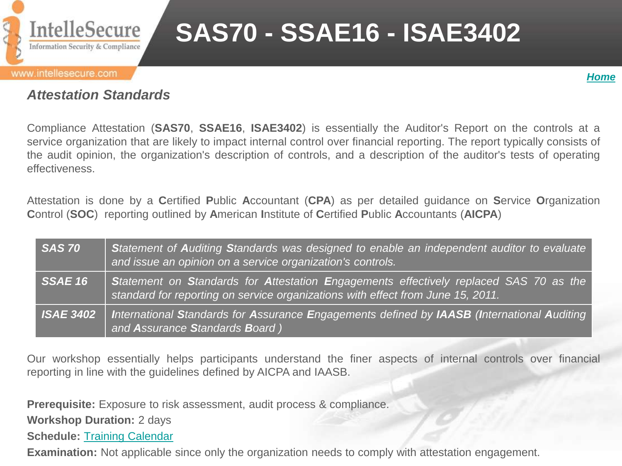

# **SAS70 - SSAE16 - ISAE3402**

#### www.intellesecure.com



## *Attestation Standards*

Compliance Attestation (**SAS70**, **SSAE16**, **ISAE3402**) is essentially the Auditor's Report on the controls at a service organization that are likely to impact internal control over financial reporting. The report typically consists of the audit opinion, the organization's description of controls, and a description of the auditor's tests of operating effectiveness.

Attestation is done by a **C**ertified **P**ublic **A**ccountant (**CPA**) as per detailed guidance on **S**ervice **O**rganization **C**ontrol (**SOC**) reporting outlined by **A**merican **I**nstitute of **C**ertified **P**ublic **A**ccountants (**AICPA**)

| <b>SAS 70</b>                    | Statement of Auditing Standards was designed to enable an independent auditor to evaluate<br>and issue an opinion on a service organization's controls.                  |
|----------------------------------|--------------------------------------------------------------------------------------------------------------------------------------------------------------------------|
| $\overline{\phantom{a}}$ SSAE 16 | Statement on Standards for Attestation Engagements effectively replaced SAS 70 as the<br>standard for reporting on service organizations with effect from June 15, 2011. |
| <b>ISAE 3402</b>                 | International Standards for Assurance Engagements defined by IAASB (International Auditing<br>and Assurance Standards Board)                                             |

Our workshop essentially helps participants understand the finer aspects of internal controls over financial reporting in line with the guidelines defined by AICPA and IAASB.

**Prerequisite:** Exposure to risk assessment, audit process & compliance.

**Workshop Duration:** 2 days

**Schedule:** [Training](http://www.intellesecure.com/training_calendar.php) [Calendar](http://www.intellesecure.com/training_calendar.php)

<span id="page-7-0"></span>**Examination:** Not applicable since only the organization needs to comply with attestation engagement.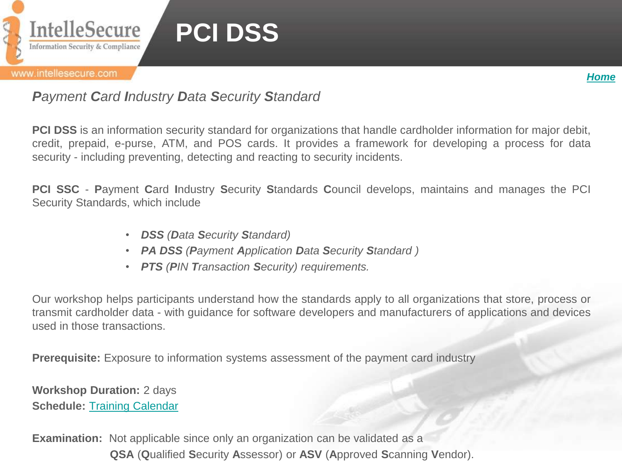

# **PCI DSS**

#### www.intellesecure.com



## *Payment Card Industry Data Security Standard*

**PCI DSS** is an information security standard for organizations that handle cardholder information for major debit, credit, prepaid, e-purse, ATM, and POS cards. It provides a framework for developing a process for data security - including preventing, detecting and reacting to security incidents.

**PCI SSC** - **P**ayment **C**ard **I**ndustry **S**ecurity **S**tandards **C**ouncil develops, maintains and manages the PCI Security Standards, which include

- *DSS (Data Security Standard)*
- *PA DSS (Payment Application Data Security Standard )*
- *PTS (PIN Transaction Security) requirements.*

Our workshop helps participants understand how the standards apply to all organizations that store, process or transmit cardholder data - with guidance for software developers and manufacturers of applications and devices used in those transactions.

**Prerequisite:** Exposure to information systems assessment of the payment card industry

**Workshop Duration:** 2 days **Schedule: [Training](http://www.intellesecure.com/training_calendar.php) [Calendar](http://www.intellesecure.com/training_calendar.php)** 

<span id="page-8-0"></span>**Examination:** Not applicable since only an organization can be validated as a  **QSA** (**Q**ualified **S**ecurity **A**ssessor) or **ASV** (**A**pproved **S**canning **V**endor).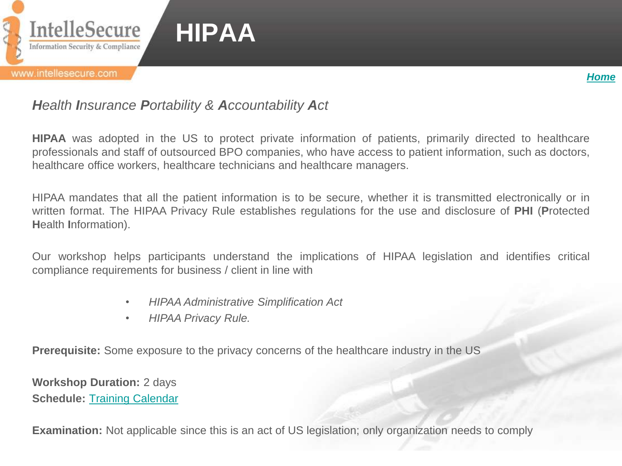



# *Health Insurance Portability & Accountability Act*

**HIPAA** was adopted in the US to protect private information of patients, primarily directed to healthcare professionals and staff of outsourced BPO companies, who have access to patient information, such as doctors, healthcare office workers, healthcare technicians and healthcare managers.

HIPAA mandates that all the patient information is to be secure, whether it is transmitted electronically or in written format. The HIPAA Privacy Rule establishes regulations for the use and disclosure of **PHI** (**P**rotected **H**ealth **I**nformation).

Our workshop helps participants understand the implications of HIPAA legislation and identifies critical compliance requirements for business / client in line with

- *HIPAA Administrative Simplification Act*
- *HIPAA Privacy Rule.*

**Prerequisite:** Some exposure to the privacy concerns of the healthcare industry in the US

**Workshop Duration:** 2 days **Schedule:** [Training](http://www.intellesecure.com/training_calendar.php) [Calendar](http://www.intellesecure.com/training_calendar.php)

<span id="page-9-0"></span>**Examination:** Not applicable since this is an act of US legislation; only organization needs to comply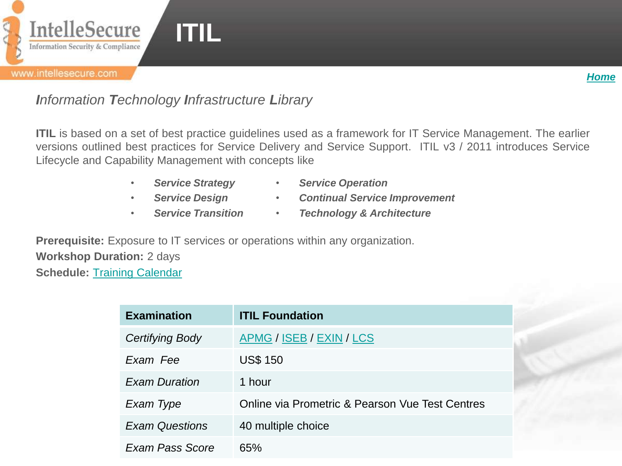

# *Information Technology Infrastructure Library*

**ITIL** is based on a set of best practice quidelines used as a framework for IT Service Management. The earlier versions outlined best practices for Service Delivery and Service Support. ITIL v3 / 2011 introduces Service Lifecycle and Capability Management with concepts like

- *Service Strategy*
- *Service Operation*
- *Service Design*
- *Continual Service Improvement*
- *Service Transition*
- *Technology & Architecture*

**Prerequisite:** Exposure to IT services or operations within any organization. **Workshop Duration:** 2 days **Schedule:** [Training](http://www.intellesecure.com/training_calendar.php) [Calendar](http://www.intellesecure.com/training_calendar.php)

<span id="page-10-0"></span>

| <b>Examination</b>    | <b>ITIL Foundation</b>                          |
|-----------------------|-------------------------------------------------|
| Certifying Body       | APMG / ISEB / EXIN / LCS                        |
| Exam Fee              | <b>US\$ 150</b>                                 |
| <b>Exam Duration</b>  | 1 hour                                          |
| Exam Type             | Online via Prometric & Pearson Vue Test Centres |
| <b>Exam Questions</b> | 40 multiple choice                              |
| Exam Pass Score       | 65%                                             |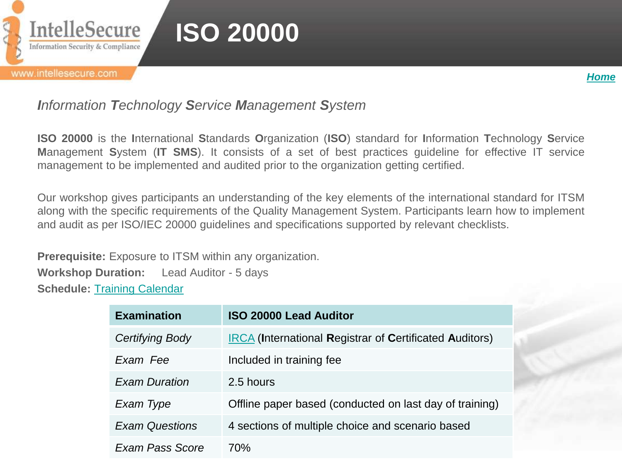

# *Information Technology Service Management System*

**ISO 20000** is the **I**nternational **S**tandards **O**rganization (**ISO**) standard for **I**nformation **T**echnology **S**ervice **M**anagement **S**ystem (**IT SMS**). It consists of a set of best practices guideline for effective IT service management to be implemented and audited prior to the organization getting certified.

Our workshop gives participants an understanding of the key elements of the international standard for ITSM along with the specific requirements of the Quality Management System. Participants learn how to implement and audit as per ISO/IEC 20000 guidelines and specifications supported by relevant checklists.

**Prerequisite:** Exposure to ITSM within any organization. **Workshop Duration:** Lead Auditor - 5 days **Schedule:** [Training](http://www.intellesecure.com/training_calendar.php) [Calendar](http://www.intellesecure.com/training_calendar.php)

<span id="page-11-0"></span>

| <b>Examination</b>    | <b>ISO 20000 Lead Auditor</b>                                  |
|-----------------------|----------------------------------------------------------------|
| Certifying Body       | <b>IRCA</b> (International Registrar of Certificated Auditors) |
| Exam Fee              | Included in training fee                                       |
| <b>Exam Duration</b>  | 2.5 hours                                                      |
| Exam Type             | Offline paper based (conducted on last day of training)        |
| <b>Exam Questions</b> | 4 sections of multiple choice and scenario based               |
| Exam Pass Score       | 70%                                                            |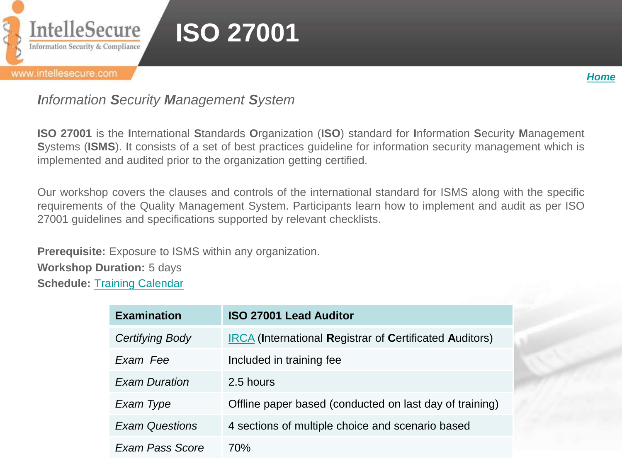

#### www.intellesecure.com

*[Home](#page-0-0)*

## *Information Security Management System*

**ISO 27001** is the **I**nternational **S**tandards **O**rganization (**ISO**) standard for **I**nformation **S**ecurity **M**anagement **S**ystems (**ISMS**). It consists of a set of best practices guideline for information security management which is implemented and audited prior to the organization getting certified.

Our workshop covers the clauses and controls of the international standard for ISMS along with the specific requirements of the Quality Management System. Participants learn how to implement and audit as per ISO 27001 guidelines and specifications supported by relevant checklists.

**Prerequisite:** Exposure to ISMS within any organization.

**Workshop Duration:** 5 days

<span id="page-12-0"></span>**Schedule:** [Training Calendar](http://www.intellesecure.com/training_calendar.php)

| <b>Examination</b>    | <b>ISO 27001 Lead Auditor</b>                                  |
|-----------------------|----------------------------------------------------------------|
| Certifying Body       | <b>IRCA</b> (International Registrar of Certificated Auditors) |
| Exam Fee              | Included in training fee                                       |
| <b>Exam Duration</b>  | 2.5 hours                                                      |
| Exam Type             | Offline paper based (conducted on last day of training)        |
| <b>Exam Questions</b> | 4 sections of multiple choice and scenario based               |
| Exam Pass Score       | 70%                                                            |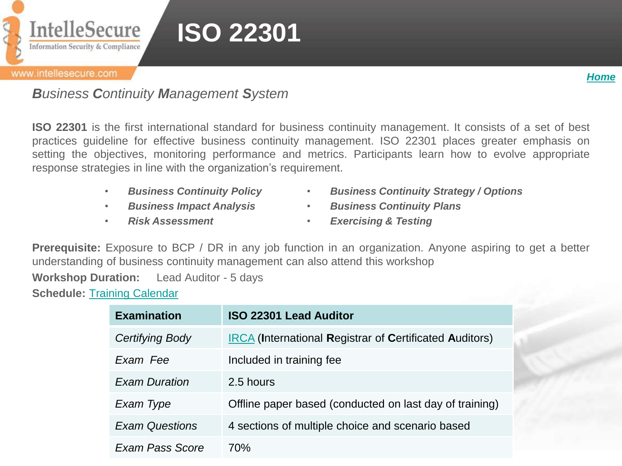

#### www.intellesecure.com

*[Home](#page-0-0)*

*Business Continuity Management System*

**ISO 22301** is the first international standard for business continuity management. It consists of a set of best practices guideline for effective business continuity management. ISO 22301 places greater emphasis on setting the objectives, monitoring performance and metrics. Participants learn how to evolve appropriate response strategies in line with the organization's requirement.

- *Business Continuity Policy*
- *Business Impact Analysis*
- *Risk Assessment*
- *Business Continuity Strategy / Options*
- *Business Continuity Plans*
- *Exercising & Testing*

**Prerequisite:** Exposure to BCP / DR in any job function in an organization. Anyone aspiring to get a better understanding of business continuity management can also attend this workshop

**Workshop Duration:** Lead Auditor - 5 days

<span id="page-13-0"></span>**Schedule:** [Training](http://www.intellesecure.com/training_calendar.php) [Calendar](http://www.intellesecure.com/training_calendar.php)

| <b>Examination</b>     | <b>ISO 22301 Lead Auditor</b>                                  |
|------------------------|----------------------------------------------------------------|
| <b>Certifying Body</b> | <b>IRCA</b> (International Registrar of Certificated Auditors) |
| Exam Fee               | Included in training fee                                       |
| <b>Exam Duration</b>   | 2.5 hours                                                      |
| Exam Type              | Offline paper based (conducted on last day of training)        |
| <b>Exam Questions</b>  | 4 sections of multiple choice and scenario based               |
| Exam Pass Score        | 70%                                                            |